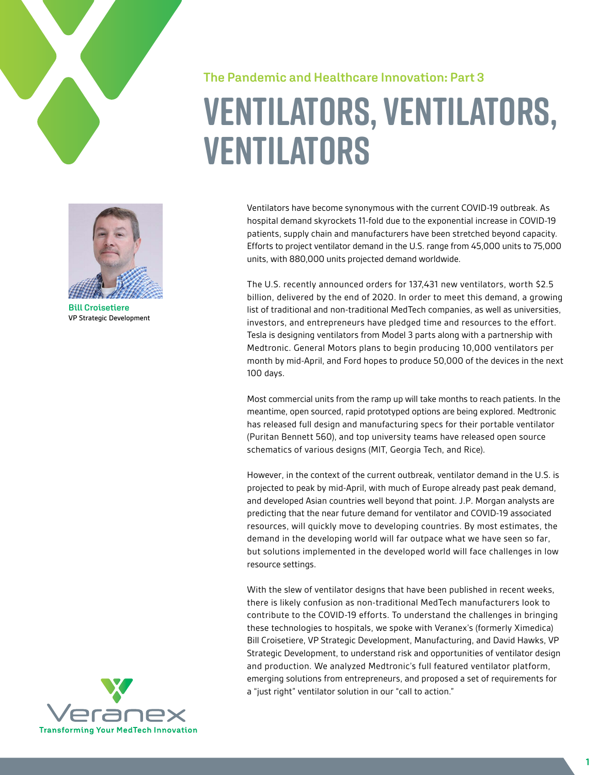



**Bill Croisetiere** VP Strategic Development

# **The Pandemic and Healthcare Innovation: Part 3 Ventilators, Ventilators, Ventilators**

Ventilators have become synonymous with the current COVID-19 outbreak. As hospital demand skyrockets 11-fold due to the exponential increase in COVID-19 patients, supply chain and manufacturers have been stretched beyond capacity. Efforts to project ventilator demand in the U.S. range from 45,000 units to 75,000 units, with 880,000 units projected demand worldwide.

The U.S. recently announced orders for 137,431 new ventilators, worth \$2.5 billion, delivered by the end of 2020. In order to meet this demand, a growing list of traditional and non-traditional MedTech companies, as well as universities, investors, and entrepreneurs have pledged time and resources to the effort. Tesla is designing ventilators from Model 3 parts along with a partnership with Medtronic. General Motors plans to begin producing 10,000 ventilators per month by mid-April, and Ford hopes to produce 50,000 of the devices in the next 100 days.

Most commercial units from the ramp up will take months to reach patients. In the meantime, open sourced, rapid prototyped options are being explored. Medtronic has released full design and manufacturing specs for their portable ventilator (Puritan Bennett 560), and top university teams have released open source schematics of various designs (MIT, Georgia Tech, and Rice).

However, in the context of the current outbreak, ventilator demand in the U.S. is projected to peak by mid-April, with much of Europe already past peak demand, and developed Asian countries well beyond that point. J.P. Morgan analysts are predicting that the near future demand for ventilator and COVID-19 associated resources, will quickly move to developing countries. By most estimates, the demand in the developing world will far outpace what we have seen so far, but solutions implemented in the developed world will face challenges in low resource settings.

With the slew of ventilator designs that have been published in recent weeks, there is likely confusion as non-traditional MedTech manufacturers look to contribute to the COVID-19 efforts. To understand the challenges in bringing these technologies to hospitals, we spoke with Veranex's (formerly Ximedica) Bill Croisetiere, VP Strategic Development, Manufacturing, and David Hawks, VP Strategic Development, to understand risk and opportunities of ventilator design and production. We analyzed Medtronic's full featured ventilator platform, emerging solutions from entrepreneurs, and proposed a set of requirements for a "just right" ventilator solution in our "call to action."

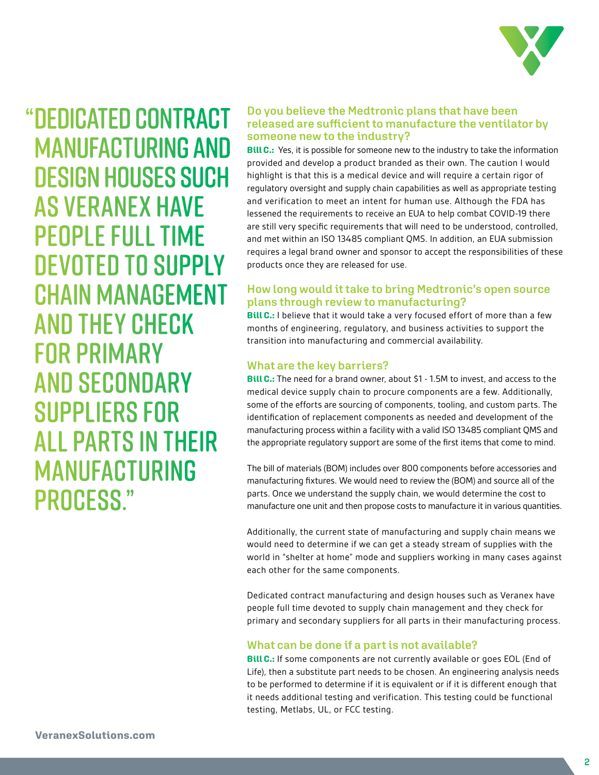

"DEDICATED CONTRACT MANUFACTURING AND DESIGN HOUSES SUCH AS Veranex HAVE PEOPLE FULL TIME DEVOTED TO SUPPLY CHAIN MANAGEMENT AND THEY CHECK FOR PRIMARY AND SECONDARY SUPPLIERS FOR ALL PARTS IN THEIR MANUFACTURING PROCESS."

## **Do you believe the Medtronic plans that have been released are sufficient to manufacture the ventilator by someone new to the industry?**

**Bill C.:** Yes, it is possible for someone new to the industry to take the information provided and develop a product branded as their own. The caution I would highlight is that this is a medical device and will require a certain rigor of regulatory oversight and supply chain capabilities as well as appropriate testing and verification to meet an intent for human use. Although the FDA has lessened the requirements to receive an EUA to help combat COVID-19 there are still very specific requirements that will need to be understood, controlled, and met within an ISO 13485 compliant QMS. In addition, an EUA submission requires a legal brand owner and sponsor to accept the responsibilities of these products once they are released for use.

# **How long would it take to bring Medtronic's open source plans through review to manufacturing?**

**Bill C.:** I believe that it would take a very focused effort of more than a few months of engineering, regulatory, and business activities to support the transition into manufacturing and commercial availability.

## **What are the key barriers?**

**Bill C.:** The need for a brand owner, about \$1 - 1.5M to invest, and access to the medical device supply chain to procure components are a few. Additionally, some of the efforts are sourcing of components, tooling, and custom parts. The identification of replacement components as needed and development of the manufacturing process within a facility with a valid ISO 13485 compliant QMS and the appropriate regulatory support are some of the first items that come to mind.

The bill of materials (BOM) includes over 800 components before accessories and manufacturing fixtures. We would need to review the (BOM) and source all of the parts. Once we understand the supply chain, we would determine the cost to manufacture one unit and then propose costs to manufacture it in various quantities.

Additionally, the current state of manufacturing and supply chain means we would need to determine if we can get a steady stream of supplies with the world in "shelter at home" mode and suppliers working in many cases against each other for the same components.

Dedicated contract manufacturing and design houses such as Veranex have people full time devoted to supply chain management and they check for primary and secondary suppliers for all parts in their manufacturing process.

# **What can be done if a part is not available?**

**Bill C.:** If some components are not currently available or goes EOL (End of Life), then a substitute part needs to be chosen. An engineering analysis needs to be performed to determine if it is equivalent or if it is different enough that it needs additional testing and verification. This testing could be functional testing, Metlabs, UL, or FCC testing.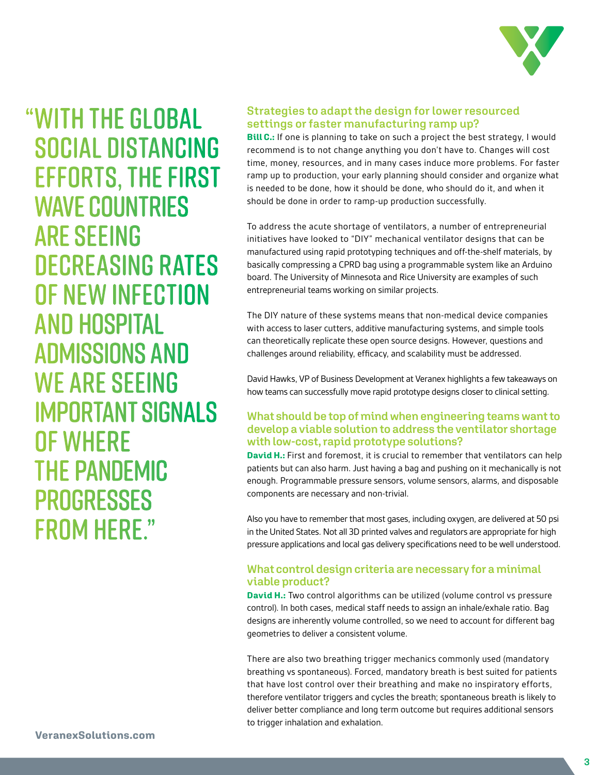

"WITH THE GLOBAL SOCIAL DISTANCING EFFORTS, THE FIRST WAVE COUNTRIES ARE SEEING DECREASING RATES OF NEW INFECTION AND HOSPITAL ADMISSIONS AND WE ARE SEEING IMPORTANT SIGNALS OF WHERE THE PANDEMIC **PROGRESSES** FROM HERE."

# **Strategies to adapt the design for lower resourced settings or faster manufacturing ramp up?**

**Bill C.:** If one is planning to take on such a project the best strategy, I would recommend is to not change anything you don't have to. Changes will cost time, money, resources, and in many cases induce more problems. For faster ramp up to production, your early planning should consider and organize what is needed to be done, how it should be done, who should do it, and when it should be done in order to ramp-up production successfully.

To address the acute shortage of ventilators, a number of entrepreneurial initiatives have looked to "DIY" mechanical ventilator designs that can be manufactured using rapid prototyping techniques and off-the-shelf materials, by basically compressing a CPRD bag using a programmable system like an Arduino board. The University of Minnesota and Rice University are examples of such entrepreneurial teams working on similar projects.

The DIY nature of these systems means that non-medical device companies with access to laser cutters, additive manufacturing systems, and simple tools can theoretically replicate these open source designs. However, questions and challenges around reliability, efficacy, and scalability must be addressed.

David Hawks, VP of Business Development at Veranex highlights a few takeaways on how teams can successfully move rapid prototype designs closer to clinical setting.

## **What should be top of mind when engineering teams want to develop a viable solution to address the ventilator shortage with low-cost, rapid prototype solutions?**

**David H.:** First and foremost, it is crucial to remember that ventilators can help patients but can also harm. Just having a bag and pushing on it mechanically is not enough. Programmable pressure sensors, volume sensors, alarms, and disposable components are necessary and non-trivial.

Also you have to remember that most gases, including oxygen, are delivered at 50 psi in the United States. Not all 3D printed valves and regulators are appropriate for high pressure applications and local gas delivery specifications need to be well understood.

# **What control design criteria are necessary for a minimal viable product?**

**David H.:** Two control algorithms can be utilized (volume control vs pressure control). In both cases, medical staff needs to assign an inhale/exhale ratio. Bag designs are inherently volume controlled, so we need to account for different bag geometries to deliver a consistent volume.

There are also two breathing trigger mechanics commonly used (mandatory breathing vs spontaneous). Forced, mandatory breath is best suited for patients that have lost control over their breathing and make no inspiratory efforts, therefore ventilator triggers and cycles the breath; spontaneous breath is likely to deliver better compliance and long term outcome but requires additional sensors to trigger inhalation and exhalation.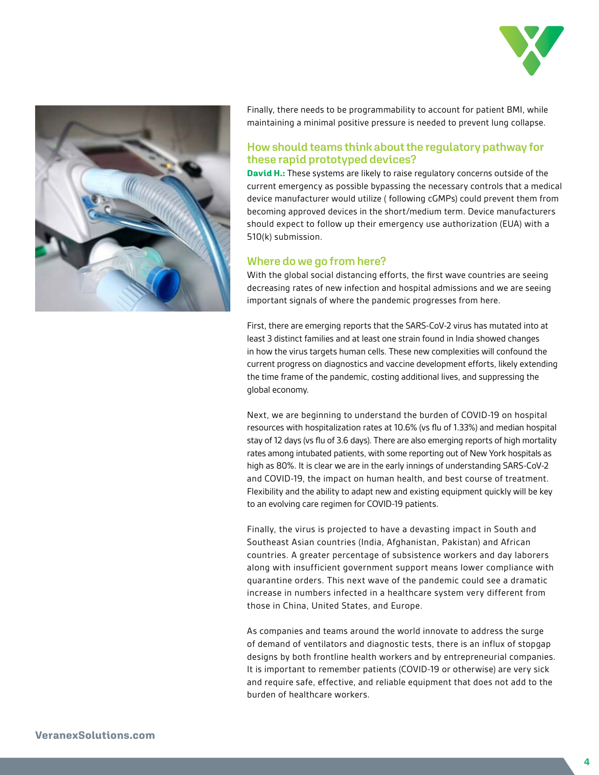



Finally, there needs to be programmability to account for patient BMI, while maintaining a minimal positive pressure is needed to prevent lung collapse.

## **How should teams think about the regulatory pathway for these rapid prototyped devices?**

**David H.:** These systems are likely to raise regulatory concerns outside of the current emergency as possible bypassing the necessary controls that a medical device manufacturer would utilize ( following cGMPs) could prevent them from becoming approved devices in the short/medium term. Device manufacturers should expect to follow up their emergency use authorization (EUA) with a 510(k) submission.

#### **Where do we go from here?**

With the global social distancing efforts, the first wave countries are seeing decreasing rates of new infection and hospital admissions and we are seeing important signals of where the pandemic progresses from here.

First, there are emerging reports that the SARS-CoV-2 virus has mutated into at least 3 distinct families and at least one strain found in India showed changes in how the virus targets human cells. These new complexities will confound the current progress on diagnostics and vaccine development efforts, likely extending the time frame of the pandemic, costing additional lives, and suppressing the global economy.

Next, we are beginning to understand the burden of COVID-19 on hospital resources with hospitalization rates at 10.6% (vs flu of 1.33%) and median hospital stay of 12 days (vs flu of 3.6 days). There are also emerging reports of high mortality rates among intubated patients, with some reporting out of New York hospitals as high as 80%. It is clear we are in the early innings of understanding SARS-CoV-2 and COVID-19, the impact on human health, and best course of treatment. Flexibility and the ability to adapt new and existing equipment quickly will be key to an evolving care regimen for COVID-19 patients.

Finally, the virus is projected to have a devasting impact in South and Southeast Asian countries (India, Afghanistan, Pakistan) and African countries. A greater percentage of subsistence workers and day laborers along with insufficient government support means lower compliance with quarantine orders. This next wave of the pandemic could see a dramatic increase in numbers infected in a healthcare system very different from those in China, United States, and Europe.

As companies and teams around the world innovate to address the surge of demand of ventilators and diagnostic tests, there is an influx of stopgap designs by both frontline health workers and by entrepreneurial companies. It is important to remember patients (COVID-19 or otherwise) are very sick and require safe, effective, and reliable equipment that does not add to the burden of healthcare workers.